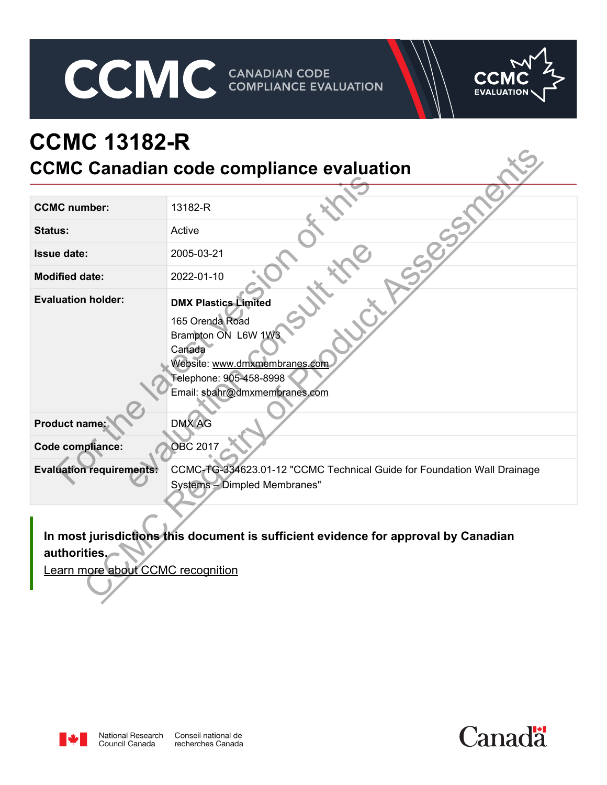CCMC CANADIAN CODE COMPLIANCE EVALUATION



# **CCMC 13182-R CCMC Canadian code compliance evaluation**

| <b>CCMC Canadian code compliance evaluation</b>   |                                                                                                                                                                              |  |  |  |
|---------------------------------------------------|------------------------------------------------------------------------------------------------------------------------------------------------------------------------------|--|--|--|
|                                                   |                                                                                                                                                                              |  |  |  |
| <b>CCMC</b> number:                               | 13182-R                                                                                                                                                                      |  |  |  |
| <b>Status:</b>                                    | Active                                                                                                                                                                       |  |  |  |
| <b>Issue date:</b>                                | 2005-03-21                                                                                                                                                                   |  |  |  |
| <b>Modified date:</b>                             | 2022-01-10                                                                                                                                                                   |  |  |  |
| <b>Evaluation holder:</b>                         | <b>DMX Plastics Limited</b><br>165 Orenda Road<br>Brampton ON L6W 1W3<br>Canada<br>Website: www.dmxmembranes.com<br>Telephone: 905-458-8998<br>Email: sbahr@dmxmembranes.com |  |  |  |
| Product name:                                     | <b>DMX AG</b>                                                                                                                                                                |  |  |  |
| Code compliance:                                  | <b>OBC 2017</b>                                                                                                                                                              |  |  |  |
| <b>Evaluation requirements:</b>                   | CCMC-TG-334623.01-12 "CCMC Technical Guide for Foundation Wall Drainage<br>Systems - Dimpled Membranes"                                                                      |  |  |  |
| authorities.<br>Learn more about CCMC recognition | In most jurisdictions this document is sufficient evidence for approval by Canadian                                                                                          |  |  |  |



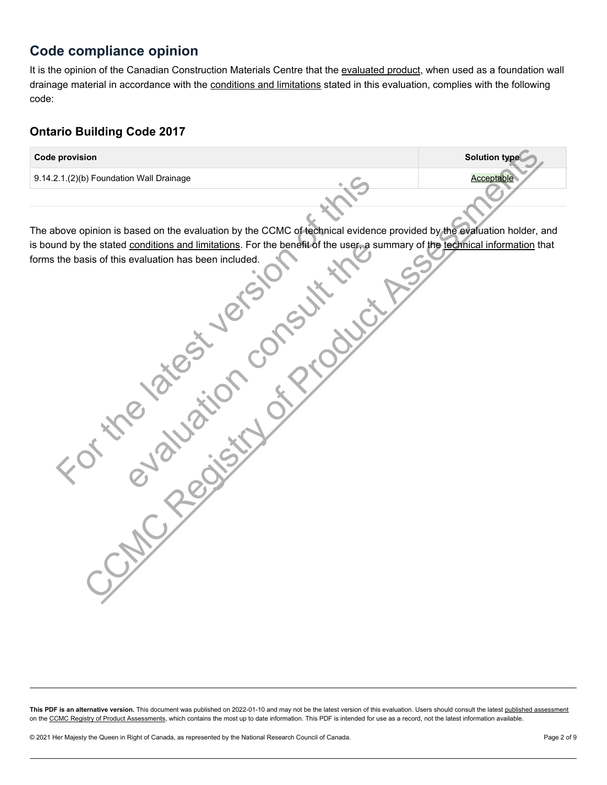# **Code compliance opinion**

It is the opinion of the Canadian Construction Materials Centre that the [evaluated product](#page-2-0), when used as a foundation wall drainage material in accordance with the [conditions and limitations](#page-3-0) stated in this evaluation, complies with the following code:

# **Ontario Building Code 2017**

| <b>Code provision</b>                                                                                                       | <b>Solution type</b> |  |  |  |  |
|-----------------------------------------------------------------------------------------------------------------------------|----------------------|--|--|--|--|
| 9.14.2.1.(2)(b) Foundation Wall Drainage                                                                                    | Acceptable           |  |  |  |  |
|                                                                                                                             |                      |  |  |  |  |
|                                                                                                                             |                      |  |  |  |  |
| The above opinion is based on the evaluation by the CCMC of technical evidence provided by the evaluation holder, and       |                      |  |  |  |  |
| is bound by the stated conditions and limitations. For the benefit of the user, a summary of the technical information that |                      |  |  |  |  |
| forms the basis of this evaluation has been included.                                                                       |                      |  |  |  |  |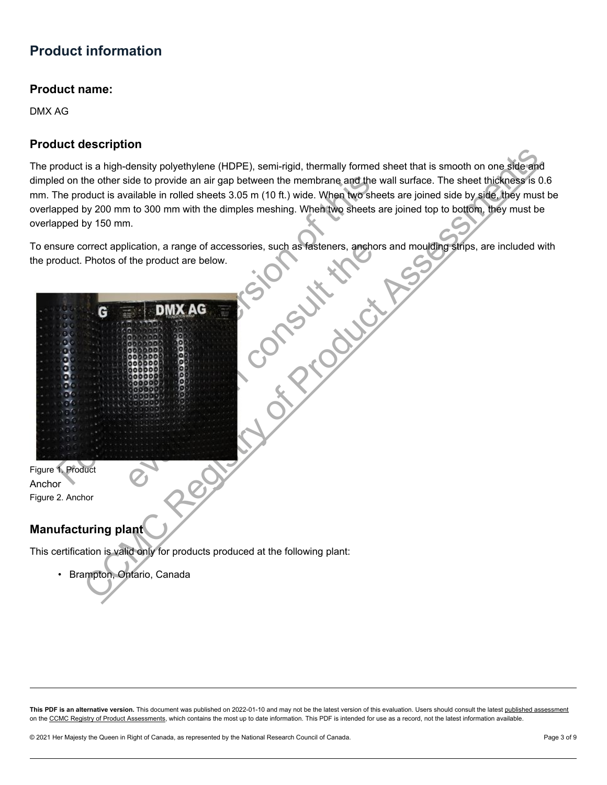# <span id="page-2-0"></span>**Product information**

### **Product name:**

DMX AG

## **Product description**

The product is a high-density polyethylene (HDPE), semi-rigid, thermally formed sheet that is smooth on one side and dimpled on the other side to provide an air gap between the membrane and the wall surface. The sheet thickness is 0.6 mm. The product is available in rolled sheets 3.05 m (10 ft.) wide. When two sheets are joined side by side, they must be overlapped by 200 mm to 300 mm with the dimples meshing. When two sheets are joined top to bottom, they must be overlapped by 150 mm.

To ensure correct application, a range of accessories, such as fasteners, anchors and moulding strips, are included with the product. Photos of the product are below.



This certification is valid only for products produced at the following plant:

• Brampton, Ontario, Canada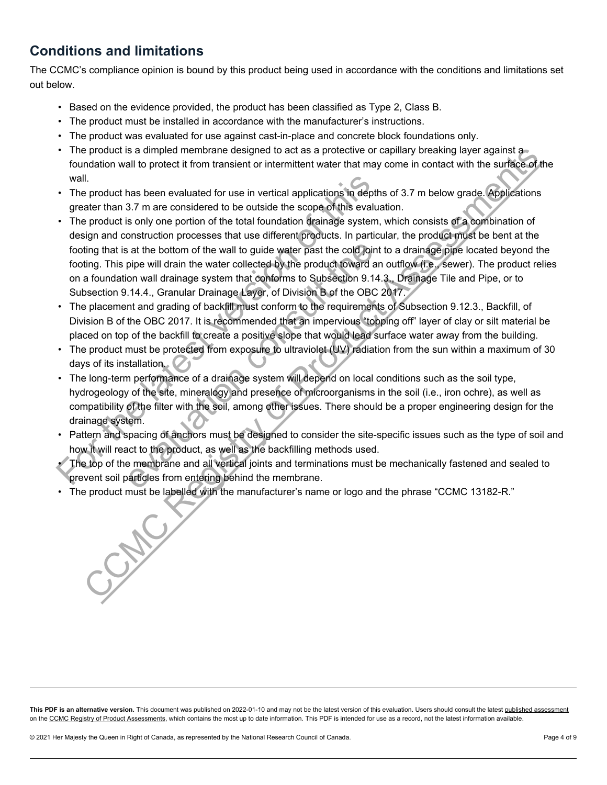# <span id="page-3-0"></span>**Conditions and limitations**

The CCMC's compliance opinion is bound by this product being used in accordance with the conditions and limitations set out below.

- Based on the evidence provided, the product has been classified as Type 2, Class B.
- The product must be installed in accordance with the manufacturer's instructions.
- The product was evaluated for use against cast-in-place and concrete block foundations only.
- The product is a dimpled membrane designed to act as a protective or capillary breaking layer against a foundation wall to protect it from transient or intermittent water that may come in contact with the surface of the wall.
- The product has been evaluated for use in vertical applications in depths of 3.7 m below grade. Applications greater than 3.7 m are considered to be outside the scope of this evaluation.
- The product is only one portion of the total foundation drainage system, which consists of a combination of design and construction processes that use different products. In particular, the product must be bent at the footing that is at the bottom of the wall to guide water past the cold joint to a drainage pipe located beyond the footing. This pipe will drain the water collected by the product toward an outflow (i.e., sewer). The product relies on a foundation wall drainage system that conforms to Subsection 9.14.3., Drainage Tile and Pipe, or to Subsection 9.14.4., Granular Drainage Layer, of Division B of the OBC 2017. wall.<br>
The product has been evaluated for use in vertical applications in dept<br>
greater than 3.7 m are considered to be outside the scope of this evaluation<br>
The product is only one portion of the total foundation drainag is at the bottom of the wall to guide water past the cold joint<br>pipe will drain the water collected by the product toward ar<br>on wall drainage system that conforms to Subsection 9.14<br>.14.4., Granular Drainage Layer, of Divi product his a dimpled membrane designed to act as a protective or capillary breaking layer against a<br>mindion wall to protect it from transient or intermittent water that may come in contact with the surface of<br>il,<br>memorian
- The placement and grading of backfill must conform to the requirements of Subsection 9.12.3., Backfill, of Division B of the OBC 2017. It is recommended that an impervious "topping off" layer of clay or silt material be placed on top of the backfill to create a positive slope that would lead surface water away from the building.
- The product must be protected from exposure to ultraviolet (UV) radiation from the sun within a maximum of 30 days of its installation.
- The long-term performance of a drainage system will depend on local conditions such as the soil type, hydrogeology of the site, mineralogy and presence of microorganisms in the soil (i.e., iron ochre), as well as compatibility of the filter with the soil, among other issues. There should be a proper engineering design for the drainage system.
- Pattern and spacing of anchors must be designed to consider the site-specific issues such as the type of soil and how it will react to the product, as well as the backfilling methods used.
- The top of the membrane and all vertical joints and terminations must be mechanically fastened and sealed to prevent soil particles from entering behind the membrane.
- The product must be labelled with the manufacturer's name or logo and the phrase "CCMC 13182-R."

This PDF is an alternative version. This document was published on 2022-01-10 and may not be the latest version of this evaluation. Users should consult the latest [published assessment](https://nrc.canada.ca/en/certifications-evaluations-standards/canadian-construction-materials-centre/ccmc-publications/document.html?type=cert&id=13182-R) on the [CCMC Registry of Product Assessments,](https://nrc.canada.ca/en/certifications-evaluations-standards/canadian-construction-materials-centre/ccmc-publications/registry/extranet/list) which contains the most up to date information. This PDF is intended for use as a record, not the latest information available.

© 2021 Her Majesty the Queen in Right of Canada, as represented by the National Research Council of Canada. Page 4 of 9 Page 4 of 9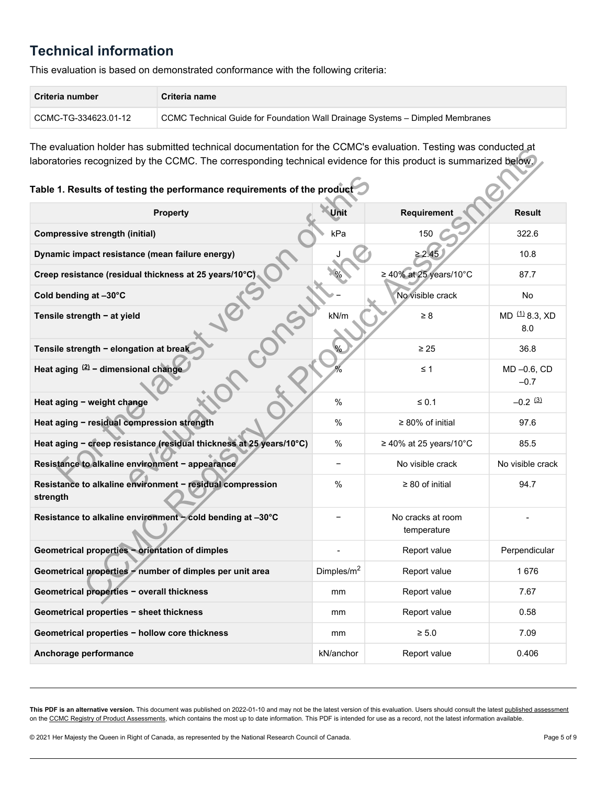# <span id="page-4-0"></span>**Technical information**

This evaluation is based on demonstrated conformance with the following criteria:

| Criteria number      | Criteria name                                                                 |
|----------------------|-------------------------------------------------------------------------------|
| CCMC-TG-334623.01-12 | CCMC Technical Guide for Foundation Wall Drainage Systems - Dimpled Membranes |

The evaluation holder has submitted technical documentation for the CCMC's evaluation. Testing was conducted at laboratories recognized by the CCMC. The corresponding technical evidence for this product is summarized below.

# <span id="page-4-3"></span><span id="page-4-2"></span><span id="page-4-1"></span>**Table 1. Results of testing the performance requirements of the product**

| THE EVAIDANDITIONEL HAS SUDHINED TECHNICAL QUODHEHIANOH IOL ME CONIC S EVAIDANDIT. TESNING WAS CONQUOED AT<br>laboratories recognized by the CCMC. The corresponding technical evidence for this product is summarized below. |               |                                  |                                  |  |  |  |
|-------------------------------------------------------------------------------------------------------------------------------------------------------------------------------------------------------------------------------|---------------|----------------------------------|----------------------------------|--|--|--|
| Table 1. Results of testing the performance requirements of the product                                                                                                                                                       |               |                                  |                                  |  |  |  |
| <b>Property</b>                                                                                                                                                                                                               | Unit          | Requirement                      | Result                           |  |  |  |
| <b>Compressive strength (initial)</b>                                                                                                                                                                                         | kPa           | 150                              | 322.6                            |  |  |  |
| Dynamic impact resistance (mean failure energy)                                                                                                                                                                               |               | ≥ 2.45                           | 10.8                             |  |  |  |
| Creep resistance (residual thickness at 25 years/10°C)                                                                                                                                                                        |               | ≥ 40% at 25 years/10°C           | 87.7                             |  |  |  |
| Cold bending at -30°C                                                                                                                                                                                                         |               | No visible crack                 | No                               |  |  |  |
| Tensile strength - at yield                                                                                                                                                                                                   | kN/m          | $\geq 8$                         | MD <sup>(1)</sup> 8.3, XD<br>8.0 |  |  |  |
| Tensile strength - elongation at break                                                                                                                                                                                        |               | $\geq 25$                        | 36.8                             |  |  |  |
| Heat aging $(2)$ - dimensional change                                                                                                                                                                                         |               | $\leq 1$                         | MD-0.6, CD<br>$-0.7$             |  |  |  |
| Heat aging - weight change                                                                                                                                                                                                    | $\%$          | $\leq 0.1$                       | $-0.2$ (3)                       |  |  |  |
| Heat aging - residual compression strength                                                                                                                                                                                    | $\%$          | $\geq 80\%$ of initial           | 97.6                             |  |  |  |
| Heat aging - creep resistance (residual thickness at 25 years/10°C)                                                                                                                                                           | $\%$          | $\geq$ 40% at 25 years/10°C      | 85.5                             |  |  |  |
| Resistance to alkaline environment - appearance                                                                                                                                                                               |               | No visible crack                 | No visible crack                 |  |  |  |
| Resistance to alkaline environment - residual compression<br>strength                                                                                                                                                         | $\%$          | $\geq 80$ of initial             | 94.7                             |  |  |  |
| Resistance to alkaline environment - cold bending at -30°C                                                                                                                                                                    |               | No cracks at room<br>temperature |                                  |  |  |  |
| Geometrical properties - orientation of dimples                                                                                                                                                                               |               | Report value                     | Perpendicular                    |  |  |  |
| Geometrical properties - number of dimples per unit area                                                                                                                                                                      | Dimples/ $m2$ | Report value                     | 1676                             |  |  |  |
| Geometrical properties - overall thickness                                                                                                                                                                                    | mm            | Report value                     | 7.67                             |  |  |  |
| Geometrical properties - sheet thickness                                                                                                                                                                                      | mm            | Report value                     | 0.58                             |  |  |  |
| Geometrical properties - hollow core thickness                                                                                                                                                                                | mm            | $\geq 5.0$                       | 7.09                             |  |  |  |
| Anchorage performance                                                                                                                                                                                                         | kN/anchor     | Report value                     | 0.406                            |  |  |  |

This PDF is an alternative version. This document was published on 2022-01-10 and may not be the latest version of this evaluation. Users should consult the latest [published assessment](https://nrc.canada.ca/en/certifications-evaluations-standards/canadian-construction-materials-centre/ccmc-publications/document.html?type=cert&id=13182-R) on the [CCMC Registry of Product Assessments,](https://nrc.canada.ca/en/certifications-evaluations-standards/canadian-construction-materials-centre/ccmc-publications/registry/extranet/list) which contains the most up to date information. This PDF is intended for use as a record, not the latest information available.

© 2021 Her Majesty the Queen in Right of Canada, as represented by the National Research Council of Canada. Page 5 of 9 of 9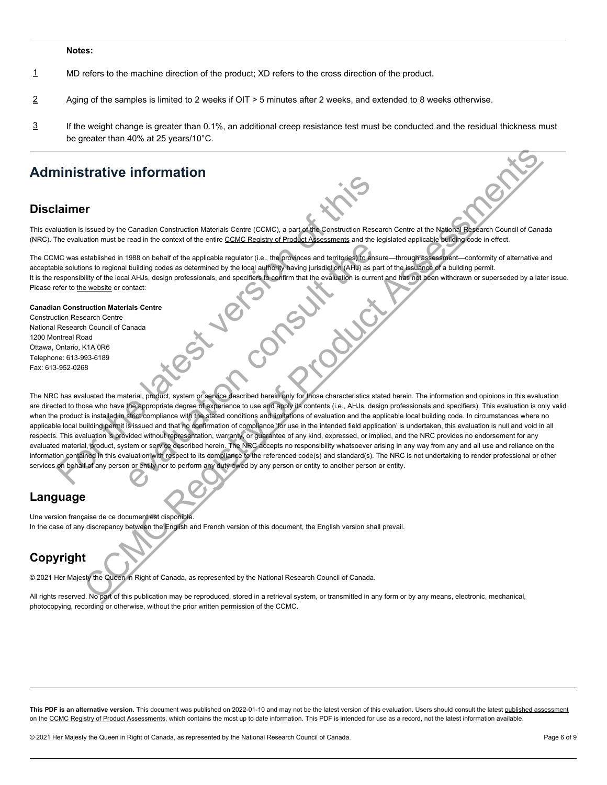#### **Notes:**

- <span id="page-5-0"></span>[1](#page-4-1) MD refers to the machine direction of the product; XD refers to the cross direction of the product.
- <span id="page-5-1"></span>[2](#page-4-2) Aging of the samples is limited to 2 weeks if OIT > 5 minutes after 2 weeks, and extended to 8 weeks otherwise.
- <span id="page-5-2"></span>If the weight change is greater than 0.1%, an additional creep resistance test must be conducted and the residual thickness must be greater than 40% at 25 years/10°C. [3](#page-4-3)

# **Administrative information**

### **Disclaimer**

This evaluation is issued by the Canadian Construction Materials Centre (CCMC), a part of the Construction Research Centre at the National Research Council of Canada (NRC). The evaluation must be read in the context of the entire CCMC Registry of Product Assessments and the legislated applicable building code in effect.

The CCMC was established in 1988 on behalf of the applicable regulator (i.e., the provinces and territories) to ensure—through assessment—conformity of alternative and acceptable solutions to regional building codes as determined by the local authority having jurisdiction (AHJ) as part of the issuance of a building permit. It is the responsibility of the local AHJs, design professionals, and specifiers to confirm that the evaluation is current and has not been withdrawn or superseded by a later issue. Please refer to the website or contact:

#### **Canadian Construction Materials Centre**

Construction Research Centre National Research Council of Canada 1200 Montreal Road Ottawa, Ontario, K1A 0R6 Telephone: 613-993-6189 Fax: 613-952-0268

The NRC has evaluated the material, product, system or service described herein only for those characteristics stated herein. The information and opinions in this evaluation are directed to those who have the appropriate degree of experience to use and apply its contents (i.e., AHJs, design professionals and specifiers). This evaluation is only valid when the product is installed in strict compliance with the stated conditions and limitations of evaluation and the applicable local building code. In circumstances where no applicable local building permit is issued and that no confirmation of compliance 'for use in the intended field application' is undertaken, this evaluation is null and void in all respects. This evaluation is provided without representation, warranty, or guarantee of any kind, expressed, or implied, and the NRC provides no endorsement for any evaluated material, product, system or service described herein. The NRC accepts no responsibility whatsoever arising in any way from any and all use and reliance on the information contained in this evaluation with respect to its compliance to the referenced code(s) and standard(s). The NRC is not undertaking to render professional or other services on behalf of any person or entity nor to perform any duty owed by any person or entity to another person or entity. **Example 12 and 12 and 13 and 24 and 24 and 24 and 24 and 24 and 24 and 24 and 26 and 26 and 36 and 36 and 36 and 36 and 36 and 36 and 36 and 36 and 36 and 36 and 36 and 36 and 36 and 36 and 36 and 36 and 36 and 36 and 36** FIRED TO THE TRIGGALL STATES THE TRIGGALL STATES IN OUR CONSULTED TO A UNITED AND DEVELOP AND A STATES IN A HALL AND AS PRODUCT AND A STATES IN A HALL AND AS PRODUCT. SINCE IN SURFACT AND SAMPLE IN THE EVALUATION (SINCE TH **Example 11 and 11 and 11 and 11 and 11 and 11 and 11 and 11 and 11 and 11 and 11 and 11 and 11 and 11 and 11 and 11 and 11 and 11 and 11 and 11 and 11 and 11 and 11 and 11 and 11 and 11 and 11 and 11 and 11 and 11 and 11** 

### **Language**

Une version française de ce document est disponible. In the case of any discrepancy between the English and French version of this document, the English version shall prevail.

# **Copyright**

© 2021 Her Majesty the Queen in Right of Canada, as represented by the National Research Council of Canada.

All rights reserved. No part of this publication may be reproduced, stored in a retrieval system, or transmitted in any form or by any means, electronic, mechanical, photocopying, recording or otherwise, without the prior written permission of the CCMC.

This PDF is an alternative version. This document was published on 2022-01-10 and may not be the latest version of this evaluation. Users should consult the latest [published assessment](https://nrc.canada.ca/en/certifications-evaluations-standards/canadian-construction-materials-centre/ccmc-publications/document.html?type=cert&id=13182-R) on the [CCMC Registry of Product Assessments,](https://nrc.canada.ca/en/certifications-evaluations-standards/canadian-construction-materials-centre/ccmc-publications/registry/extranet/list) which contains the most up to date information. This PDF is intended for use as a record, not the latest information available.

© 2021 Her Majesty the Queen in Right of Canada, as represented by the National Research Council of Canada. Page 6 of 9 of 9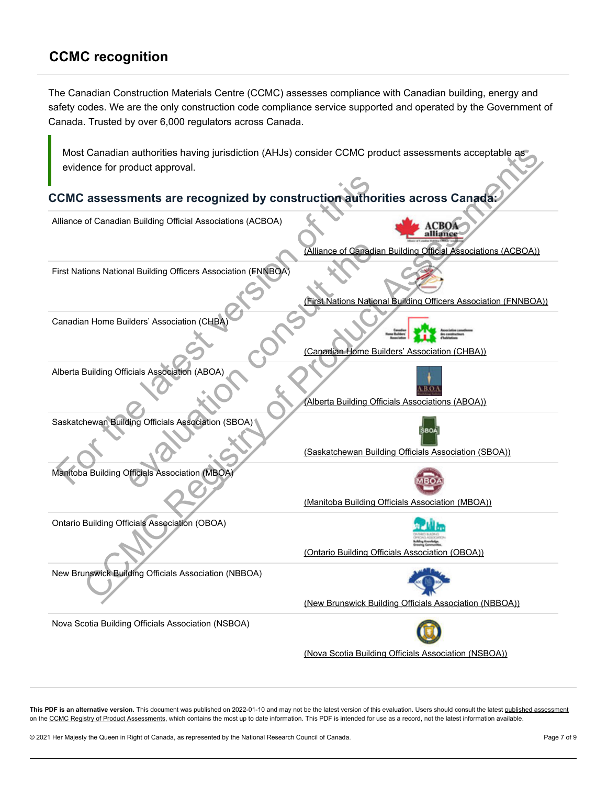# <span id="page-6-0"></span>**CCMC recognition**

The Canadian Construction Materials Centre (CCMC) assesses compliance with Canadian building, energy and safety codes. We are the only construction code compliance service supported and operated by the Government of Canada. Trusted by over 6,000 regulators across Canada.

## **CCMC assessments are recognized by construction authorities across Canada:**

| Most Canadian authorities having jurisdiction (AHJs) consider CCMC product assessments acceptable as |                                                                |  |  |  |
|------------------------------------------------------------------------------------------------------|----------------------------------------------------------------|--|--|--|
| evidence for product approval.                                                                       |                                                                |  |  |  |
|                                                                                                      |                                                                |  |  |  |
| CCMC assessments are recognized by construction authorities across Canada:                           |                                                                |  |  |  |
| Alliance of Canadian Building Official Associations (ACBOA)                                          |                                                                |  |  |  |
|                                                                                                      | (Alliance of Canadian Building Official Associations (ACBOA))  |  |  |  |
| First Nations National Building Officers Association (FNNBOA)                                        | First Nations National Building Officers Association (FNNBOA)) |  |  |  |
|                                                                                                      |                                                                |  |  |  |
| Canadian Home Builders' Association (CHBA                                                            |                                                                |  |  |  |
|                                                                                                      | (Canadian Home Builders' Association (CHBA))                   |  |  |  |
| Alberta Building Officials Association (ABOA)                                                        | (Alberta Building Officials Associations (ABOA))               |  |  |  |
| Saskatchewan Building Officials Association (SBOA)                                                   | (Saskatchewan Building Officials Association (SBOA))           |  |  |  |
| Manitoba Building Officials Association (MBOA)                                                       | (Manitoba Building Officials Association (MBOA))               |  |  |  |
| <b>Ontario Building Officials Association (OBOA)</b>                                                 | (Ontario Building Officials Association (OBOA))                |  |  |  |
| New Brunswick Building Officials Association (NBBOA)                                                 | (New Brunswick Building Officials Association (NBBOA))         |  |  |  |
| Nova Scotia Building Officials Association (NSBOA)                                                   |                                                                |  |  |  |
|                                                                                                      | (Nova Scotia Building Officials Association (NSBOA))           |  |  |  |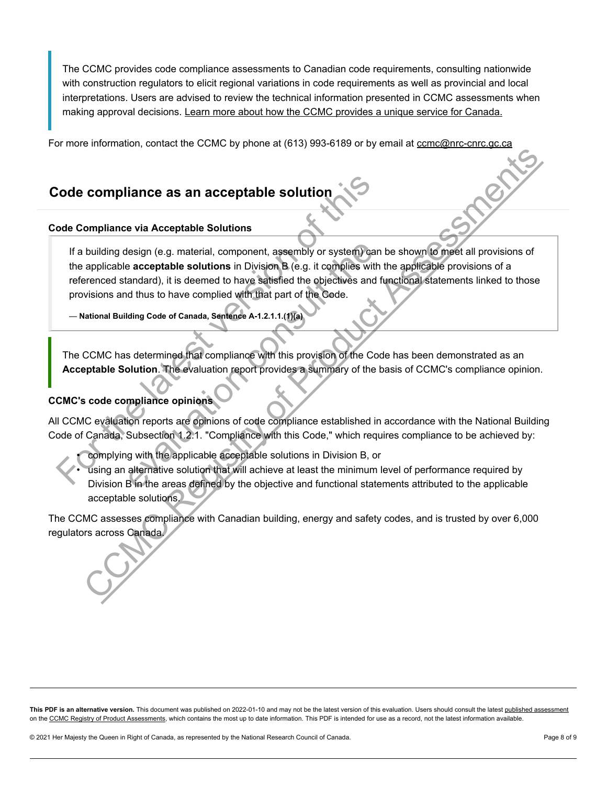The CCMC provides code compliance assessments to Canadian code requirements, consulting nationwide with construction regulators to elicit regional variations in code requirements as well as provincial and local interpretations. Users are advised to review the technical information presented in CCMC assessments when making approval decisions. [Learn more about how the CCMC provides a unique service for Canada.](https://nrc.canada.ca/en/certifications-evaluations-standards/canadian-construction-materials-centre/ccmc-evaluations-unique-service-canada)

For more information, contact the CCMC by phone at (613) 993-6189 or by email at [ccmc@nrc-cnrc.gc.ca](mailto:ccmc@nrc-cnrc.gc.ca) 

# <span id="page-7-0"></span>**Code compliance as an acceptable solution**

### **Code Compliance via Acceptable Solutions**

If a building design (e.g. material, component, assembly or system) can be shown to meet all provisions of the applicable **acceptable solutions** in Division B (e.g. it complies with the applicable provisions of a referenced standard), it is deemed to have satisfied the objectives and functional statements linked to those provisions and thus to have complied with that part of the Code. Code compliance as an acceptable solution<br>
The abiliding design (e.g. material, component, assembly or system) can<br>
the applicable acceptable solutions in Division B (e.g. it complies with<br>
referenced standard), it is deem design (e.g. material, component, assembly or system) can<br>a acceptable solutions in Division B (e.g. it complies with<br>andard), it is deemed to have satisfied the objectives and<br>id thus to have complied with that part of th **COMPINIATE ASSES CONSTRANT CONSTRANT CONSTRANT CONSTRANT CONSTRANT CONSTRANT CONSTRANT CONSTRANT CONSTRANT CONSTRANT CONSTRANT CONSTRANT CONSTRANT CONSTRANT CONSTRANT CONSTRANT CONSTRANT CONSTRANT CONSTRANT CONSTRANT CONS** 

— **National Building Code of Canada, Sentence A-1.2.1.1.(1)(a)** 

The CCMC has determined that compliance with this provision of the Code has been demonstrated as an **Acceptable Solution**. The evaluation report provides a summary of the basis of CCMC's compliance opinion.

### **CCMC's code compliance opinions**

All CCMC evaluation reports are opinions of code compliance established in accordance with the National Building Code of Canada, Subsection 1.2.1. "Compliance with this Code," which requires compliance to be achieved by:

• complying with the applicable acceptable solutions in Division B, or

• using an alternative solution that will achieve at least the minimum level of performance required by Division B in the areas defined by the objective and functional statements attributed to the applicable acceptable solutions.

The CCMC assesses compliance with Canadian building, energy and safety codes, and is trusted by over 6,000 regulators across Canada.

This PDF is an alternative version. This document was published on 2022-01-10 and may not be the latest version of this evaluation. Users should consult the latest [published assessment](https://nrc.canada.ca/en/certifications-evaluations-standards/canadian-construction-materials-centre/ccmc-publications/document.html?type=cert&id=13182-R) on the [CCMC Registry of Product Assessments,](https://nrc.canada.ca/en/certifications-evaluations-standards/canadian-construction-materials-centre/ccmc-publications/registry/extranet/list) which contains the most up to date information. This PDF is intended for use as a record, not the latest information available.

© 2021 Her Majesty the Queen in Right of Canada, as represented by the National Research Council of Canada. Page 8 of 9